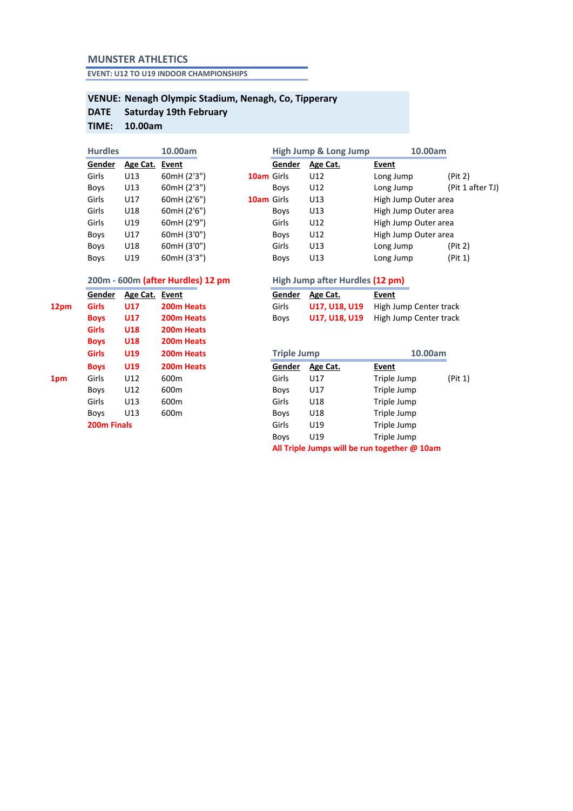### **MUNSTER ATHLETICS**

**EVENT: U12 TO U19 INDOOR CHAMPIONSHIPS**

#### **VENUE: Nenagh Olympic Stadium, Nenagh, Co, Tipperary Saturday 19th February**

# **DATE**

## **TIME: 10.00am**

| <b>Hurdles</b> |             |          | 10.00am     |            | <b>High Jump &amp; Long Jump</b> | 10.00am  |                     |
|----------------|-------------|----------|-------------|------------|----------------------------------|----------|---------------------|
|                | Gender      | Age Cat. | Event       |            | Gender                           | Age Cat. | Event               |
|                | Girls       | U13      | 60mH (2'3") | 10am Girls |                                  | U12      | Long Jump           |
|                | <b>Boys</b> | U13      | 60mH (2'3") |            | <b>Boys</b>                      | U12      | Long Jump           |
|                | Girls       | U17      | 60mH (2'6") | 10am Girls |                                  | U13      | High Jump Outer are |
|                | Girls       | U18      | 60mH (2'6") |            | <b>Boys</b>                      | U13      | High Jump Outer are |
|                | Girls       | U19      | 60mH (2'9") |            | Girls                            | U12      | High Jump Outer are |
|                | <b>Boys</b> | U17      | 60mH (3'0") |            | <b>Boys</b>                      | U12      | High Jump Outer are |
|                | <b>Boys</b> | U18      | 60mH (3'0") |            | Girls                            | U13      | Long Jump           |
|                | <b>Boys</b> | U19      | 60mH (3'3") |            | <b>Boys</b>                      | U13      | Long Jump           |

|        |                |             |            | $\tilde{\phantom{a}}$ | . .<br>ີ |                      |                  |
|--------|----------------|-------------|------------|-----------------------|----------|----------------------|------------------|
| Gender | Age Cat. Event |             |            | Gender                | Age Cat. | Event                |                  |
| Girls  | U13            | 60mH (2'3") | 10am Girls |                       | U12      | Long Jump            | (Pit 2)          |
| Boys   | U13            | 60mH (2'3") |            | <b>Boys</b>           | U12      | Long Jump            | (Pit 1 after TJ) |
| Girls  | U17            | 60mH (2'6") | 10am Girls |                       | U13      | High Jump Outer area |                  |
| Girls  | U18            | 60mH (2'6") |            | <b>Boys</b>           | U13      | High Jump Outer area |                  |
| Girls  | U19            | 60mH (2'9") |            | Girls                 | U12      | High Jump Outer area |                  |
| Boys   | U17            | 60mH (3'0") |            | <b>Boys</b>           | U12      | High Jump Outer area |                  |
| Boys   | U18            | 60mH (3'0") |            | Girls                 | U13      | Long Jump            | (Pit 2)          |
| Boys   | U19            | 60mH (3'3") |            | <b>Boys</b>           | U13      | Long Jump            | (Pit 1)          |
|        |                |             |            |                       |          |                      |                  |

|      | Gender             | Age Cat.   | Event                  | Gender             | Age Cat.      | Event  |
|------|--------------------|------------|------------------------|--------------------|---------------|--------|
| 12pm | Girls              | <b>U17</b> | 200m Heats             | Girls              | U17, U18, U19 | High J |
|      | <b>Boys</b>        | <b>U17</b> | 200m Heats             | <b>Boys</b>        | U17, U18, U19 | High J |
|      | <b>Girls</b>       | U18        | 200m Heats             |                    |               |        |
|      | <b>Boys</b>        | U18        | 200m Heats             |                    |               |        |
|      | <b>Girls</b>       | U19        | 200 <sub>m</sub> Heats | <b>Triple Jump</b> |               |        |
|      | <b>Boys</b>        | U19        | 200m Heats             | Gender             | Age Cat.      | Event  |
| 1pm  | Girls              | U12        | 600 <sub>m</sub>       | Girls              | U17           | Triple |
|      | <b>Boys</b>        | U12        | 600 <sub>m</sub>       | <b>Boys</b>        | U17           | Triple |
|      | Girls              | U13        | 600 <sub>m</sub>       | Girls              | U18           | Triple |
|      | <b>Boys</b>        | U13        | 600 <sub>m</sub>       | <b>Boys</b>        | U18           | Triple |
|      | <b>200m Finals</b> |            |                        | Girls              | U19           | Triple |
|      |                    |            |                        |                    |               |        |

### **200m - 600m (after Hurdles) 12 pm High Jump after Hurdles (12 pm)**

|            | Gender Age Cat. Event |            |       | Gender Age Cat. | Event                                       |  |
|------------|-----------------------|------------|-------|-----------------|---------------------------------------------|--|
| 12pm Girls | <b>U17</b>            | 200m Heats | Girls |                 | <b>U17, U18, U19</b> High Jump Center track |  |
| Boys U17   |                       | 200m Heats | Bovs  |                 | <b>U17, U18, U19</b> High Jump Center track |  |

|     | <b>Girls</b>       | U19 | 200m Heats       | <b>Triple Jump</b> |          |             | 10.00am |  |
|-----|--------------------|-----|------------------|--------------------|----------|-------------|---------|--|
|     | <b>Boys</b>        | U19 | 200m Heats       | Gender             | Age Cat. | Event       |         |  |
| 1pm | Girls              | U12 | 600 <sub>m</sub> | Girls              | U17      | Triple Jump | (Pit 1) |  |
|     | <b>Boys</b>        | U12 | 600 <sub>m</sub> | <b>Boys</b>        | U17      | Triple Jump |         |  |
|     | Girls              | U13 | 600 <sub>m</sub> | Girls              | U18      | Triple Jump |         |  |
|     | <b>Boys</b>        | U13 | 600 <sub>m</sub> | <b>Boys</b>        | U18      | Triple Jump |         |  |
|     | <b>200m Finals</b> |     |                  | Girls              | U19      | Triple Jump |         |  |
|     |                    |     |                  | <b>Boys</b>        | U19      | Triple Jump |         |  |
|     |                    |     |                  |                    |          |             |         |  |

**All Triple Jumps will be run together @ 10am**